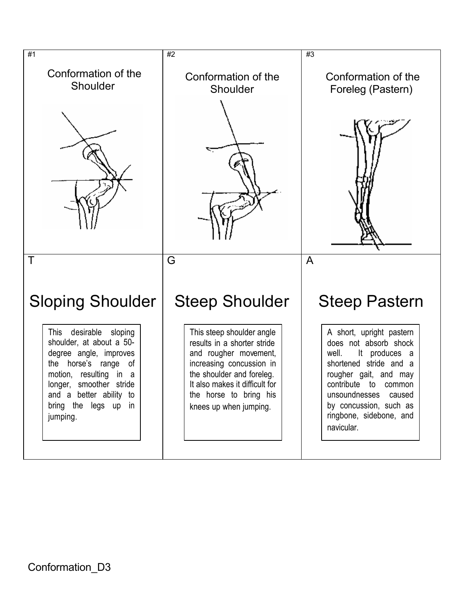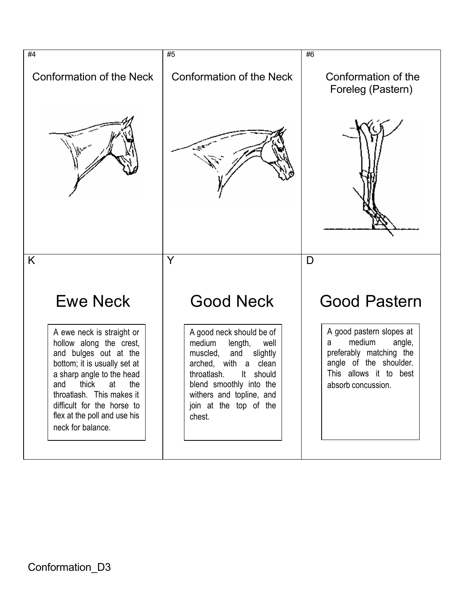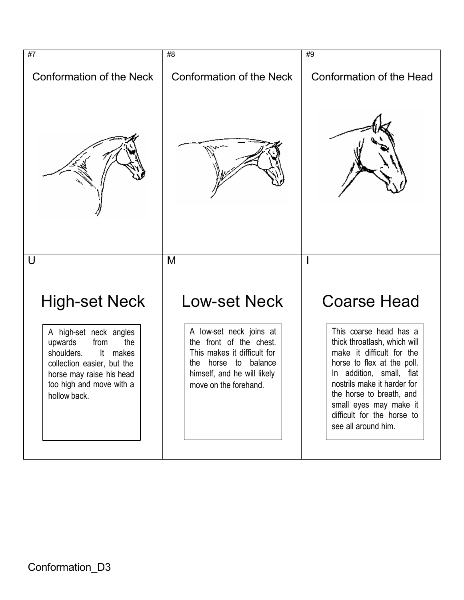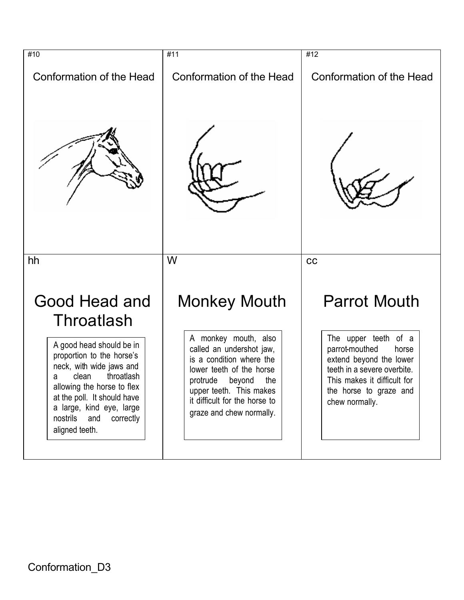